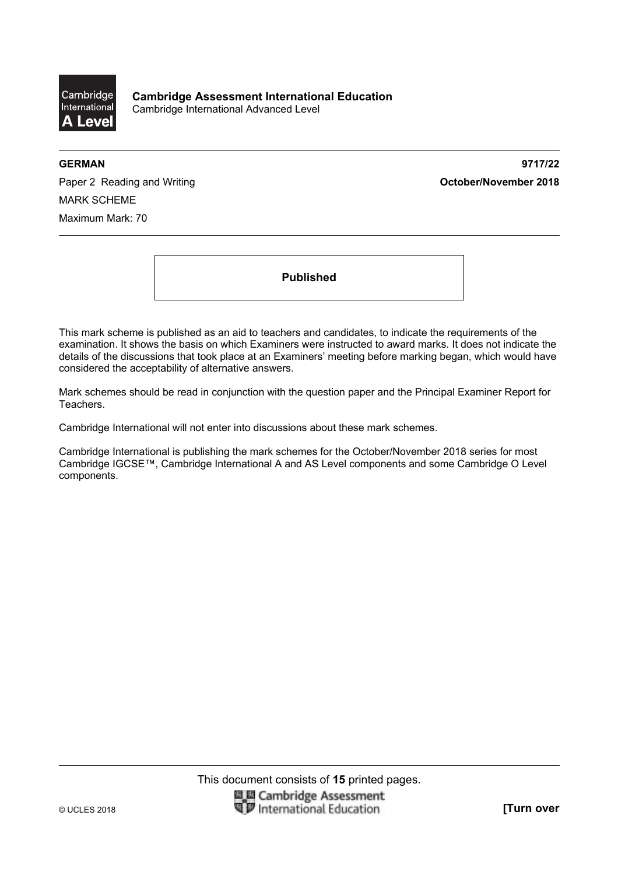

**GERMAN 9717/22** 

Paper 2 Reading and Writing **Contact Act and Act and Act 2018 October/November 2018** MARK SCHEME Maximum Mark: 70

**Published** 

This mark scheme is published as an aid to teachers and candidates, to indicate the requirements of the examination. It shows the basis on which Examiners were instructed to award marks. It does not indicate the details of the discussions that took place at an Examiners' meeting before marking began, which would have considered the acceptability of alternative answers.

Mark schemes should be read in conjunction with the question paper and the Principal Examiner Report for Teachers.

Cambridge International will not enter into discussions about these mark schemes.

Cambridge International is publishing the mark schemes for the October/November 2018 series for most Cambridge IGCSE™, Cambridge International A and AS Level components and some Cambridge O Level components.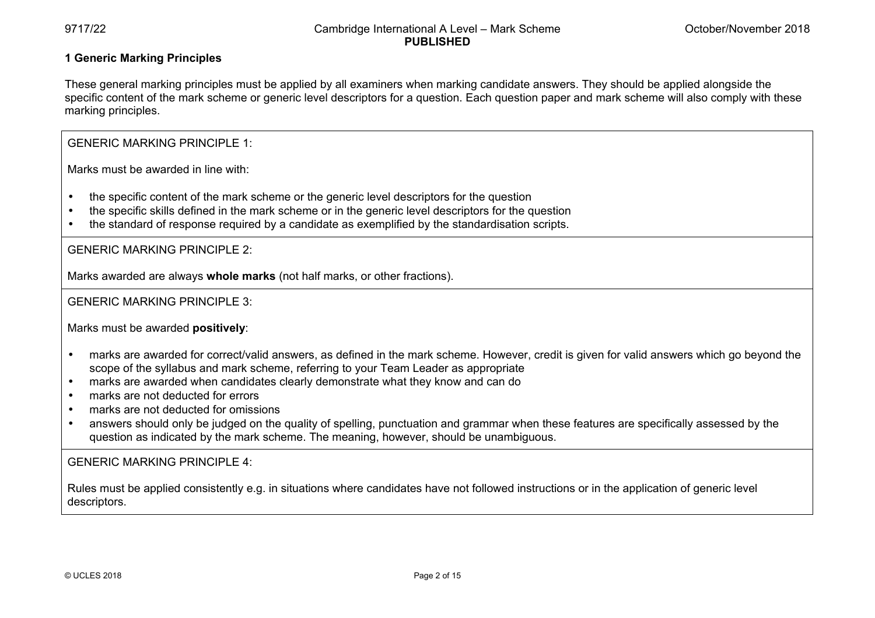# **1 Generic Marking Principles**

These general marking principles must be applied by all examiners when marking candidate answers. They should be applied alongside the specific content of the mark scheme or generic level descriptors for a question. Each question paper and mark scheme will also comply with these marking principles.

GENERIC MARKING PRINCIPLE 1:

Marks must be awarded in line with:

- the specific content of the mark scheme or the generic level descriptors for the question
- the specific skills defined in the mark scheme or in the generic level descriptors for the question
- the standard of response required by a candidate as exemplified by the standardisation scripts.

GENERIC MARKING PRINCIPLE 2:

Marks awarded are always **whole marks** (not half marks, or other fractions).

GENERIC MARKING PRINCIPLE 3:

Marks must be awarded **positively**:

- marks are awarded for correct/valid answers, as defined in the mark scheme. However, credit is given for valid answers which go beyond the scope of the syllabus and mark scheme, referring to your Team Leader as appropriate
- marks are awarded when candidates clearly demonstrate what they know and can do
- marks are not deducted for errors
- marks are not deducted for omissions
- answers should only be judged on the quality of spelling, punctuation and grammar when these features are specifically assessed by the question as indicated by the mark scheme. The meaning, however, should be unambiguous.

GENERIC MARKING PRINCIPLE 4:

Rules must be applied consistently e.g. in situations where candidates have not followed instructions or in the application of generic level descriptors.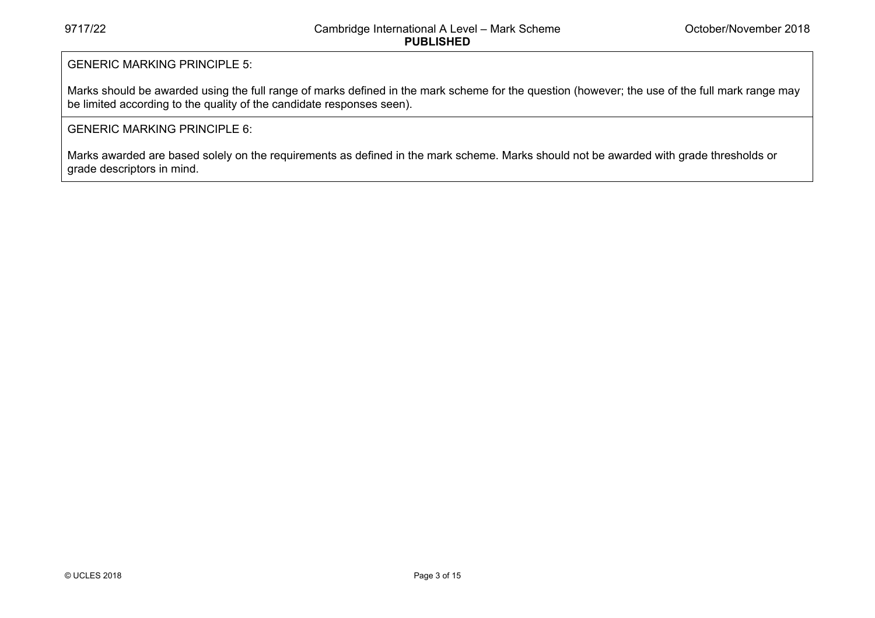# GENERIC MARKING PRINCIPLE 5:

Marks should be awarded using the full range of marks defined in the mark scheme for the question (however; the use of the full mark range may be limited according to the quality of the candidate responses seen).

# GENERIC MARKING PRINCIPLE 6:

Marks awarded are based solely on the requirements as defined in the mark scheme. Marks should not be awarded with grade thresholds or grade descriptors in mind.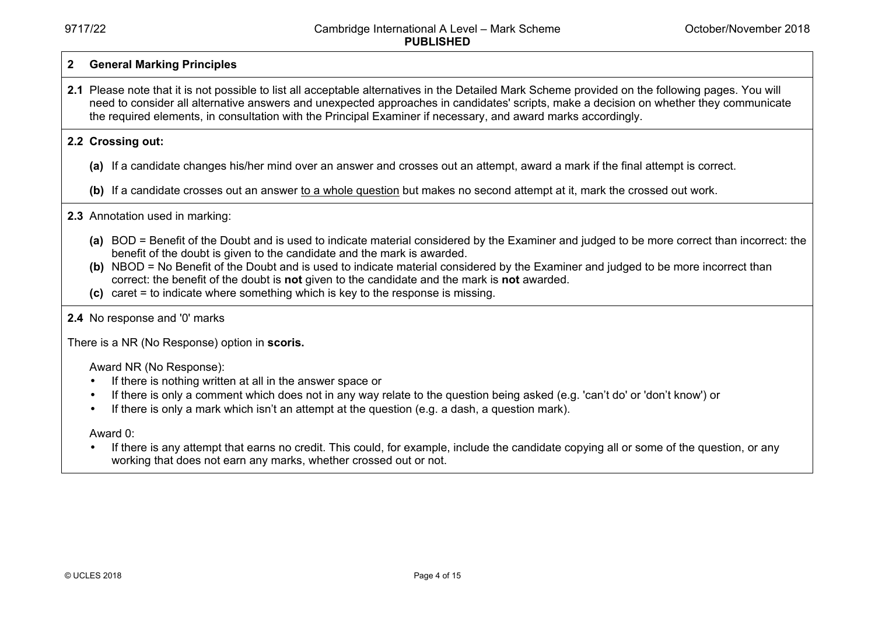#### **2 General Marking Principles**

**2.1** Please note that it is not possible to list all acceptable alternatives in the Detailed Mark Scheme provided on the following pages. You will need to consider all alternative answers and unexpected approaches in candidates' scripts, make a decision on whether they communicate the required elements, in consultation with the Principal Examiner if necessary, and award marks accordingly.

### **2.2 Crossing out:**

**(a)** If a candidate changes his/her mind over an answer and crosses out an attempt, award a mark if the final attempt is correct.

(b) If a candidate crosses out an answer to a whole question but makes no second attempt at it, mark the crossed out work.

### **2.3** Annotation used in marking:

- **(a)** BOD = Benefit of the Doubt and is used to indicate material considered by the Examiner and judged to be more correct than incorrect: the benefit of the doubt is given to the candidate and the mark is awarded.
- **(b)** NBOD = No Benefit of the Doubt and is used to indicate material considered by the Examiner and judged to be more incorrect than correct: the benefit of the doubt is **not** given to the candidate and the mark is **not** awarded.
- **(c)** caret = to indicate where something which is key to the response is missing.

### **2.4** No response and '0' marks

There is a NR (No Response) option in **scoris.** 

Award NR (No Response):

- If there is nothing written at all in the answer space or
- If there is only a comment which does not in any way relate to the question being asked (e.g. 'can't do' or 'don't know') or
- If there is only a mark which isn't an attempt at the question (e.g. a dash, a question mark).

Award 0:

• If there is any attempt that earns no credit. This could, for example, include the candidate copying all or some of the question, or any working that does not earn any marks, whether crossed out or not.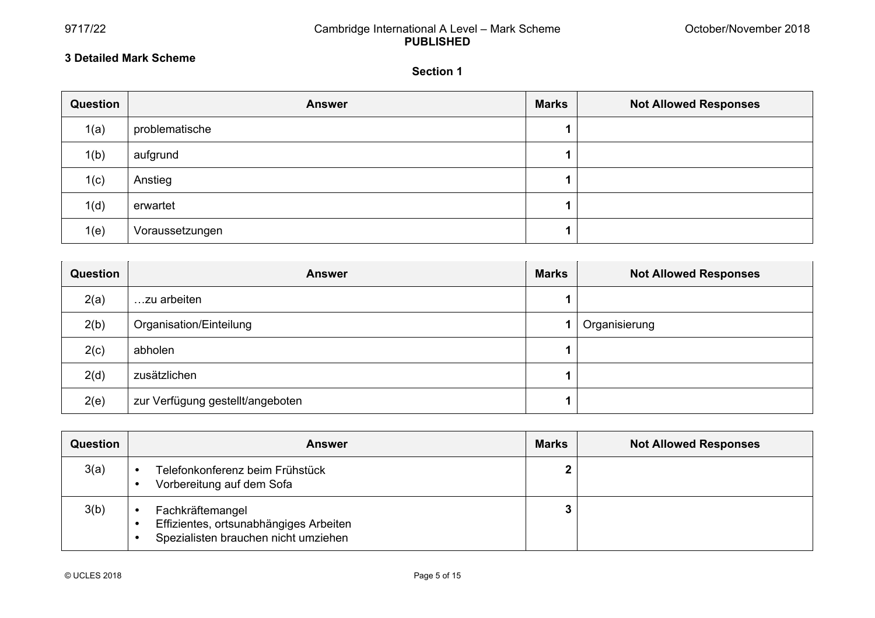# 9717/22 Cambridge International A Level – Mark Scheme **PUBLISHED**

 $\overline{a}$ 

# **3 Detailed Mark Scheme**

#### **Section 1**

| Question | <b>Answer</b>   | <b>Marks</b> | <b>Not Allowed Responses</b> |
|----------|-----------------|--------------|------------------------------|
| 1(a)     | problematische  |              |                              |
| 1(b)     | aufgrund        |              |                              |
| 1(c)     | Anstieg         |              |                              |
| 1(d)     | erwartet        |              |                              |
| 1(e)     | Voraussetzungen |              |                              |

| Question | <b>Answer</b>                    | <b>Marks</b> | <b>Not Allowed Responses</b> |
|----------|----------------------------------|--------------|------------------------------|
| 2(a)     | zu arbeiten                      |              |                              |
| 2(b)     | Organisation/Einteilung          |              | Organisierung                |
| 2(c)     | abholen                          |              |                              |
| 2(d)     | zusätzlichen                     |              |                              |
| 2(e)     | zur Verfügung gestellt/angeboten |              |                              |

| Question | <b>Answer</b>                                                                                      | <b>Marks</b> | <b>Not Allowed Responses</b> |
|----------|----------------------------------------------------------------------------------------------------|--------------|------------------------------|
| 3(a)     | Telefonkonferenz beim Frühstück<br>Vorbereitung auf dem Sofa                                       | 2            |                              |
| 3(b)     | Fachkräftemangel<br>Effizientes, ortsunabhängiges Arbeiten<br>Spezialisten brauchen nicht umziehen | 3            |                              |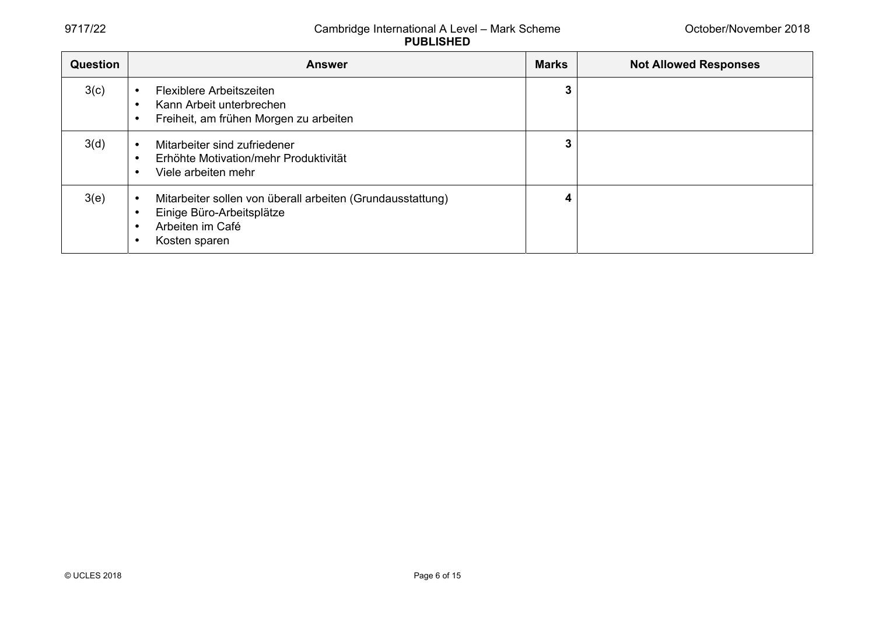# 9717/22 Cambridge International A Level – Mark Scheme **PUBLISHED**

| Question | <b>Answer</b>                                                                                                                     | <b>Marks</b> | <b>Not Allowed Responses</b> |
|----------|-----------------------------------------------------------------------------------------------------------------------------------|--------------|------------------------------|
| 3(c)     | Flexiblere Arbeitszeiten<br>Kann Arbeit unterbrechen<br>Freiheit, am frühen Morgen zu arbeiten                                    | 3            |                              |
| 3(d)     | Mitarbeiter sind zufriedener<br>Erhöhte Motivation/mehr Produktivität<br>Viele arbeiten mehr                                      | 3            |                              |
| 3(e)     | Mitarbeiter sollen von überall arbeiten (Grundausstattung)<br>Einige Büro-Arbeitsplätze<br>Arbeiten im Café<br>٠<br>Kosten sparen | 4            |                              |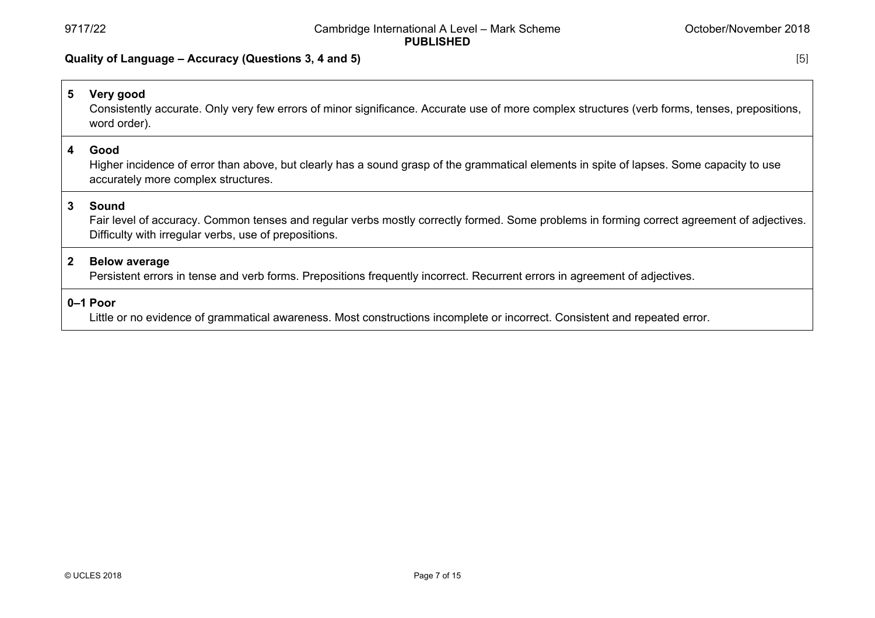# **Quality of Language – Accuracy (Questions 3, 4 and 5)** [5]

# **5 Very good**  Consistently accurate. Only very few errors of minor significance. Accurate use of more complex structures (verb forms, tenses, prepositions, word order). **4 Good**  Higher incidence of error than above, but clearly has a sound grasp of the grammatical elements in spite of lapses. Some capacity to use accurately more complex structures. **3 Sound**  Fair level of accuracy. Common tenses and regular verbs mostly correctly formed. Some problems in forming correct agreement of adjectives. Difficulty with irregular verbs, use of prepositions. **2 Below average**  Persistent errors in tense and verb forms. Prepositions frequently incorrect. Recurrent errors in agreement of adjectives.

**0–1 Poor** 

Little or no evidence of grammatical awareness. Most constructions incomplete or incorrect. Consistent and repeated error.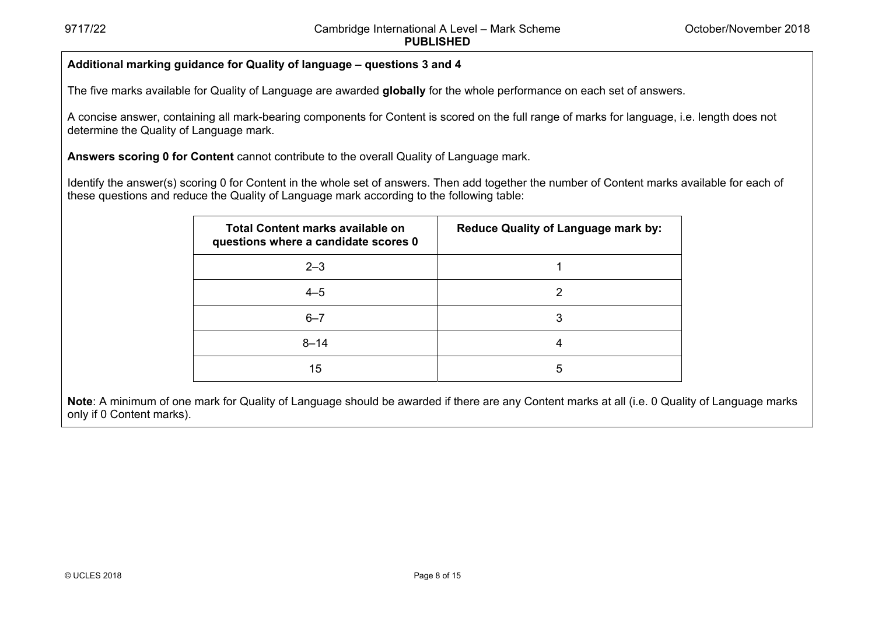# **Additional marking guidance for Quality of language – questions 3 and 4**

The five marks available for Quality of Language are awarded **globally** for the whole performance on each set of answers.

A concise answer, containing all mark-bearing components for Content is scored on the full range of marks for language, i.e. length does not determine the Quality of Language mark.

**Answers scoring 0 for Content** cannot contribute to the overall Quality of Language mark.

Identify the answer(s) scoring 0 for Content in the whole set of answers. Then add together the number of Content marks available for each of these questions and reduce the Quality of Language mark according to the following table:

| <b>Total Content marks available on</b><br>questions where a candidate scores 0 | <b>Reduce Quality of Language mark by:</b> |
|---------------------------------------------------------------------------------|--------------------------------------------|
| $2 - 3$                                                                         |                                            |
| $4 - 5$                                                                         | 2                                          |
| $6 - 7$                                                                         | 3                                          |
| $8 - 14$                                                                        | 4                                          |
| 15                                                                              | 5                                          |

**Note**: A minimum of one mark for Quality of Language should be awarded if there are any Content marks at all (i.e. 0 Quality of Language marks only if 0 Content marks).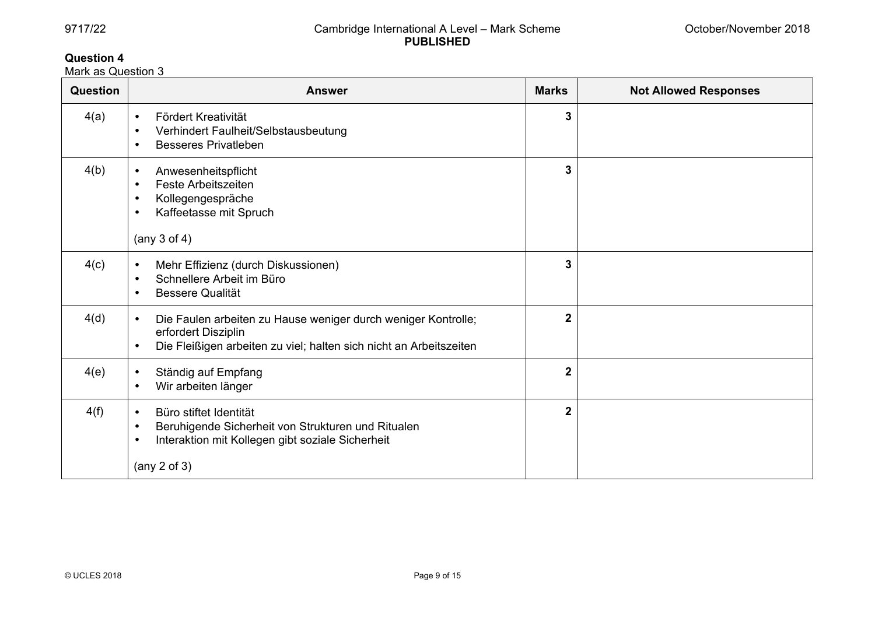# **Question 4**

Mark as Question 3

| Question | <b>Answer</b>                                                                                                                                                                                | <b>Marks</b>   | <b>Not Allowed Responses</b> |
|----------|----------------------------------------------------------------------------------------------------------------------------------------------------------------------------------------------|----------------|------------------------------|
| 4(a)     | Fördert Kreativität<br>$\bullet$<br>Verhindert Faulheit/Selbstausbeutung<br>$\bullet$<br><b>Besseres Privatleben</b><br>$\bullet$                                                            | 3              |                              |
| 4(b)     | Anwesenheitspflicht<br>$\bullet$<br>Feste Arbeitszeiten<br>$\bullet$<br>Kollegengespräche<br>$\bullet$<br>Kaffeetasse mit Spruch<br>$\bullet$<br>(any $3$ of $4$ )                           | 3              |                              |
| 4(c)     | Mehr Effizienz (durch Diskussionen)<br>$\bullet$<br>Schnellere Arbeit im Büro<br>$\bullet$<br><b>Bessere Qualität</b><br>$\bullet$                                                           | 3              |                              |
| 4(d)     | Die Faulen arbeiten zu Hause weniger durch weniger Kontrolle;<br>$\bullet$<br>erfordert Disziplin<br>Die Fleißigen arbeiten zu viel; halten sich nicht an Arbeitszeiten<br>$\bullet$         | $\overline{2}$ |                              |
| 4(e)     | Ständig auf Empfang<br>$\bullet$<br>Wir arbeiten länger<br>$\bullet$                                                                                                                         | $\overline{2}$ |                              |
| 4(f)     | Büro stiftet Identität<br>$\bullet$<br>Beruhigende Sicherheit von Strukturen und Ritualen<br>$\bullet$<br>Interaktion mit Kollegen gibt soziale Sicherheit<br>$\bullet$<br>(any $2$ of $3$ ) | $\overline{2}$ |                              |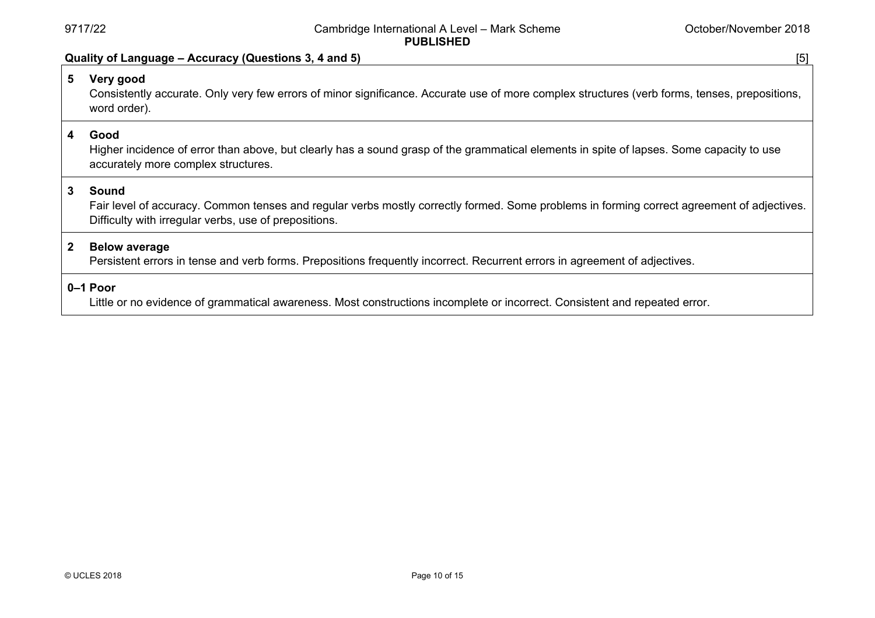#### **Quality of Language – Accuracy (Questions 3, 4 and 5)** [5]

# **5 Very good**

 Consistently accurate. Only very few errors of minor significance. Accurate use of more complex structures (verb forms, tenses, prepositions, word order).

#### **4 Good**

 Higher incidence of error than above, but clearly has a sound grasp of the grammatical elements in spite of lapses. Some capacity to use accurately more complex structures.

# **3 Sound**

 Fair level of accuracy. Common tenses and regular verbs mostly correctly formed. Some problems in forming correct agreement of adjectives. Difficulty with irregular verbs, use of prepositions.

#### **2 Below average**

Persistent errors in tense and verb forms. Prepositions frequently incorrect. Recurrent errors in agreement of adjectives.

# **0–1 Poor**

Little or no evidence of grammatical awareness. Most constructions incomplete or incorrect. Consistent and repeated error.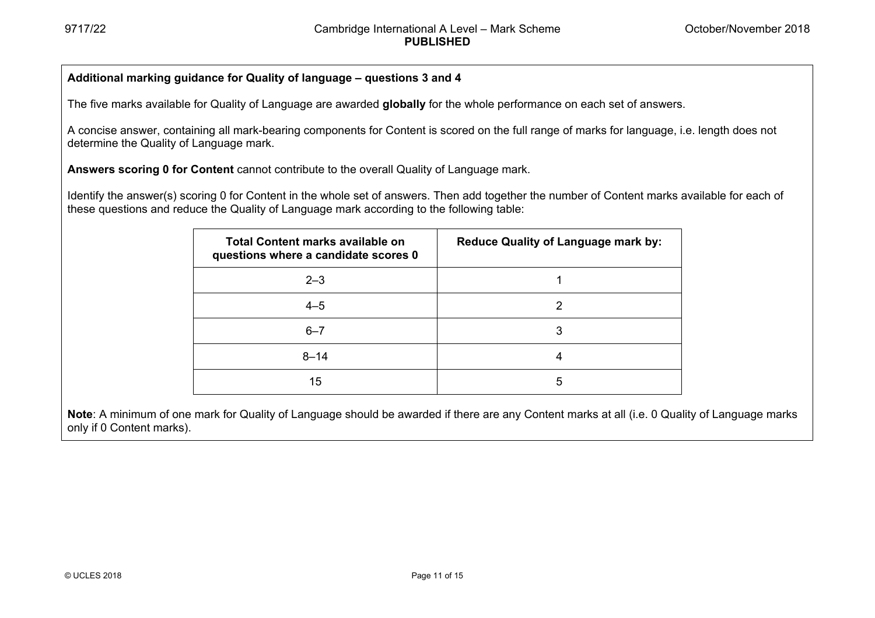# **Additional marking guidance for Quality of language – questions 3 and 4**

The five marks available for Quality of Language are awarded **globally** for the whole performance on each set of answers.

A concise answer, containing all mark-bearing components for Content is scored on the full range of marks for language, i.e. length does not determine the Quality of Language mark.

**Answers scoring 0 for Content** cannot contribute to the overall Quality of Language mark.

Identify the answer(s) scoring 0 for Content in the whole set of answers. Then add together the number of Content marks available for each of these questions and reduce the Quality of Language mark according to the following table:

| Total Content marks available on<br>questions where a candidate scores 0 | <b>Reduce Quality of Language mark by:</b> |
|--------------------------------------------------------------------------|--------------------------------------------|
| $2 - 3$                                                                  |                                            |
| $4 - 5$                                                                  | 2                                          |
| $6 - 7$                                                                  | 3                                          |
| $8 - 14$                                                                 | 4                                          |
| 15                                                                       | 5                                          |

**Note**: A minimum of one mark for Quality of Language should be awarded if there are any Content marks at all (i.e. 0 Quality of Language marks only if 0 Content marks).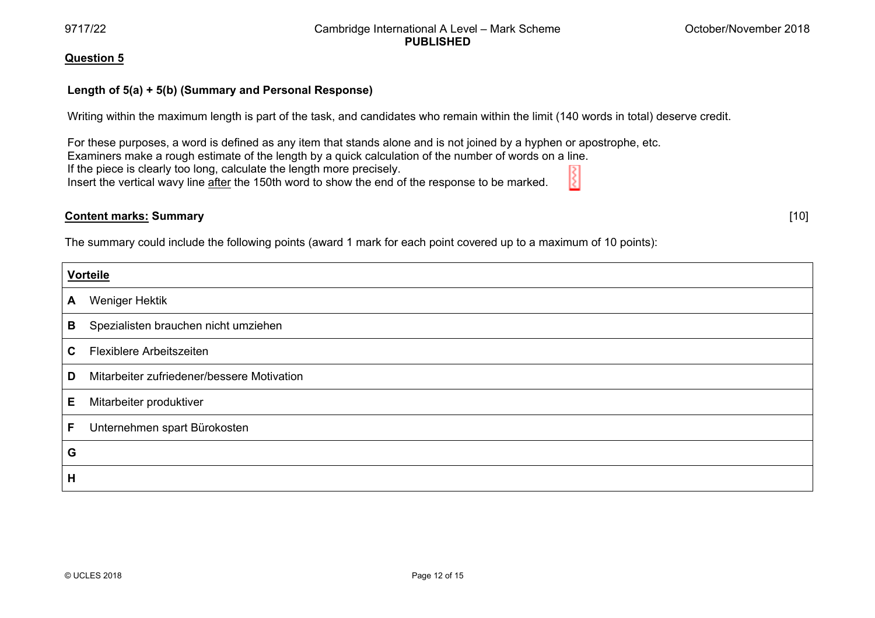97117/22

#### Cambridge International A Level – Mark Scheme **PUBLISHED**

#### **Qu uestion 5**

# **Le ength of 5(a) + 5 5(b) (Summary and Personal R Response)**

Writing within the maximum length is part of the task, and candidates who remain within the limit (140 words in total) deserve credit.

For these purposes, a word is defined as any item that stands alone and is not joined by a hyphen or apostrophe, etc. Examiners make a rough estimate of the length by a quick calculation of the number of words on a line. If the piece is clearly too long, calculate the length more precisely. Insert the vertical wavy line <u>after</u> the 150th word to show the end of the response to be marked.

# **Co ontent marks: S Summary**

The summary could include the following points (award 1 mark for each point covered up to a maximum of 10 points):

|              | <b>Vorteile</b>                            |  |  |
|--------------|--------------------------------------------|--|--|
| $\mathsf{A}$ | Weniger Hektik                             |  |  |
| В            | Spezialisten brauchen nicht umziehen       |  |  |
| C.           | Flexiblere Arbeitszeiten                   |  |  |
| D            | Mitarbeiter zufriedener/bessere Motivation |  |  |
| E            | Mitarbeiter produktiver                    |  |  |
| F            | Unternehmen spart Bürokosten               |  |  |
| G            |                                            |  |  |
| н            |                                            |  |  |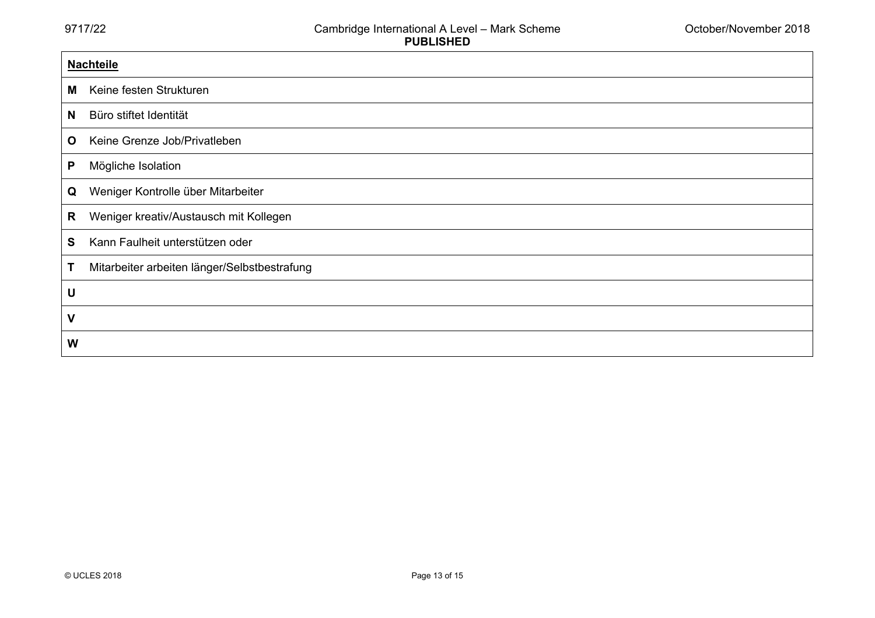|              | <b>Nachteile</b>                             |  |  |
|--------------|----------------------------------------------|--|--|
| M            | Keine festen Strukturen                      |  |  |
| N            | Büro stiftet Identität                       |  |  |
| $\mathbf{o}$ | Keine Grenze Job/Privatleben                 |  |  |
| P            | Mögliche Isolation                           |  |  |
| Q            | Weniger Kontrolle über Mitarbeiter           |  |  |
| R            | Weniger kreativ/Austausch mit Kollegen       |  |  |
| S            | Kann Faulheit unterstützen oder              |  |  |
|              | Mitarbeiter arbeiten länger/Selbstbestrafung |  |  |
| U            |                                              |  |  |
| $\mathsf{V}$ |                                              |  |  |
| W            |                                              |  |  |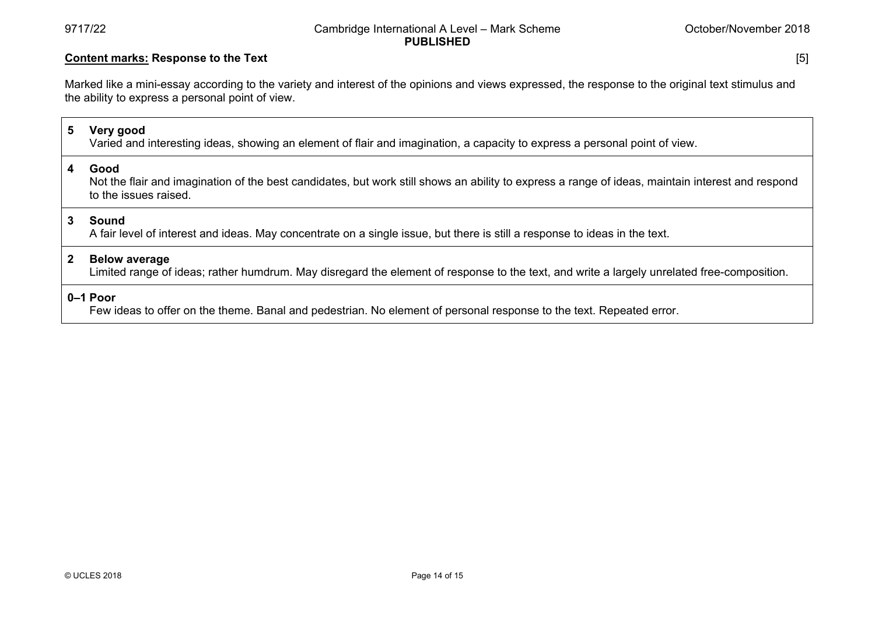#### 9717/22 Cambridge International A Level – Mark Scheme **PUBLISHED**

## **Content marks: Response to the Text** [5]

Marked like a mini-essay according to the variety and interest of the opinions and views expressed, the response to the original text stimulus and the ability to express a personal point of view.

# **5 Very good**

Varied and interesting ideas, showing an element of flair and imagination, a capacity to express a personal point of view.

#### **4 Good**

 Not the flair and imagination of the best candidates, but work still shows an ability to express a range of ideas, maintain interest and respond to the issues raised.

#### **3 Sound**

A fair level of interest and ideas. May concentrate on a single issue, but there is still a response to ideas in the text.

#### **2 Below average**

Limited range of ideas; rather humdrum. May disregard the element of response to the text, and write a largely unrelated free-composition.

# **0–1 Poor**

Few ideas to offer on the theme. Banal and pedestrian. No element of personal response to the text. Repeated error.